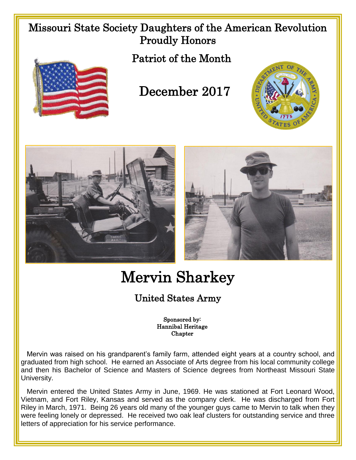## Missouri State Society Daughters of the American Revolution Proudly Honors





## December 2017







# Mervin Sharkey

### United States Army

#### Sponsored by: Hannibal Heritage **Chapter**

 Mervin was raised on his grandparent's family farm, attended eight years at a country school, and graduated from high school. He earned an Associate of Arts degree from his local community college and then his Bachelor of Science and Masters of Science degrees from Northeast Missouri State University.

 Mervin entered the United States Army in June, 1969. He was stationed at Fort Leonard Wood, Vietnam, and Fort Riley, Kansas and served as the company clerk. He was discharged from Fort Riley in March, 1971. Being 26 years old many of the younger guys came to Mervin to talk when they were feeling lonely or depressed. He received two oak leaf clusters for outstanding service and three letters of appreciation for his service performance.